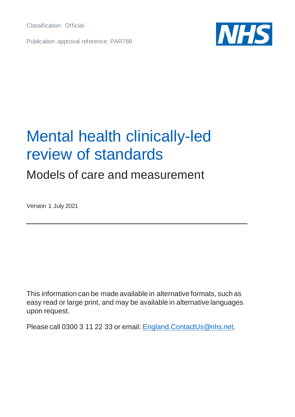Classification: Official

Publication approval reference: PAR788



# Mental health clinically-led review of standards

### Models of care and measurement

Version 1 July 2021

This information can be made available in alternative formats, such as easy read or large print, and may be available in alternative languages upon request.

Please call 0300 3 11 22 33 or email: [England.ContactUs@nhs.net](mailto:England.ContactUs@nhs.net).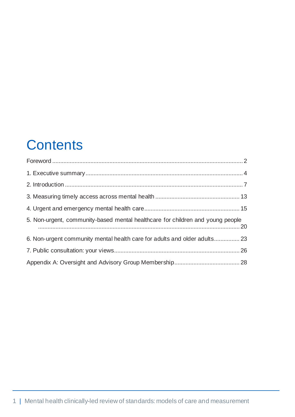## **Contents**

| 5. Non-urgent, community-based mental healthcare for children and young people |  |
|--------------------------------------------------------------------------------|--|
| 6. Non-urgent community mental health care for adults and older adults 23      |  |
|                                                                                |  |
|                                                                                |  |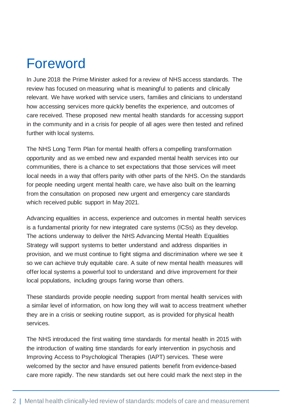# <span id="page-2-0"></span>Foreword

In June 2018 the Prime Minister asked for a review of NHS access standards. The review has focused on measuring what is meaningful to patients and clinically relevant. We have worked with service users, families and clinicians to understand how accessing services more quickly benefits the experience, and outcomes of care received. These proposed new mental health standards for accessing support in the community and in a crisis for people of all ages were then tested and refined further with local systems.

The NHS Long Term Plan for mental health offers a compelling transformation opportunity and as we embed new and expanded mental health services into our communities, there is a chance to set expectations that those services will meet local needs in a way that offers parity with other parts of the NHS. On the standards for people needing urgent mental health care, we have also built on the learning from the consultation on proposed new urgent and emergency care standards which received public support in May 2021.

Advancing equalities in access, experience and outcomes in mental health services is a fundamental priority for new integrated care systems (ICSs) as they develop. The actions underway to deliver the NHS Advancing Mental Health Equalities Strategy will support systems to better understand and address disparities in provision, and we must continue to fight stigma and discrimination where we see it so we can achieve truly equitable care. A suite of new mental health measures will offer local systems a powerful tool to understand and drive improvement for their local populations, including groups faring worse than others.

These standards provide people needing support from mental health services with a similar level of information, on how long they will wait to access treatment whether they are in a crisis or seeking routine support, as is provided for physical health services.

The NHS introduced the first waiting time standards for mental health in 2015 with the introduction of waiting time standards for early intervention in psychosis and Improving Access to Psychological Therapies (IAPT) services. These were welcomed by the sector and have ensured patients benefit from evidence-based care more rapidly. The new standards set out here could mark the next step in the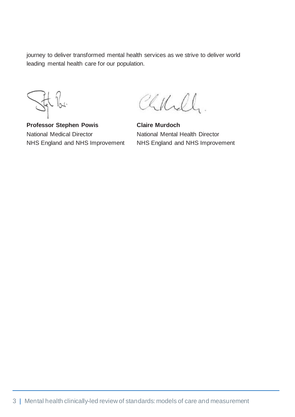journey to deliver transformed mental health services as we strive to deliver world leading mental health care for our population.

 $\sqrt{2}$ 

**Professor Stephen Powis** National Medical Director NHS England and NHS Improvement

Chkill.

**Claire Murdoch** National Mental Health Director NHS England and NHS Improvement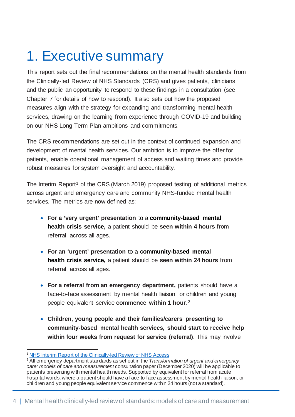# <span id="page-4-0"></span>1. Executive summary

This report sets out the final recommendations on the mental health standards from the Clinically-led Review of NHS Standards (CRS) and gives patients, clinicians and the public an opportunity to respond to these findings in a consultation (see Chapter 7 for details of how to respond). It also sets out how the proposed measures align with the strategy for expanding and transforming mental health services, drawing on the learning from experience through COVID-19 and building on our NHS Long Term Plan ambitions and commitments.

The CRS recommendations are set out in the context of continued expansion and development of mental health services. Our ambition is to improve the offer for patients, enable operational management of access and waiting times and provide robust measures for system oversight and accountability.

The Interim Report<sup>[1](#page-4-1)</sup> of the CRS (March 2019) proposed testing of additional metrics across urgent and emergency care and community NHS-funded mental health services. The metrics are now defined as:

- **For a 'very urgent' presentation** to a **community-based mental health crisis service,** a patient should be **seen within 4 hours** from referral, across all ages.
- **For an 'urgent' presentation** to a **community-based mental health crisis service,** a patient should be **seen within 24 hours** from referral, across all ages.
- For a referral from an emergency department, patients should have a face-to-face assessment by mental health liaison, or children and young people equivalent service **commence within 1 hour**.[2](#page-4-2)
- **Children, young people and their families/carers presenting to community-based mental health services, should start to receive help within four weeks from request for service (referral)**. This may involve

<span id="page-4-1"></span>[NHS Interim Report of the Clinically-led Review of NHS Access](https://www.england.nhs.uk/wp-content/uploads/2019/03/CRS-Interim-Report.pdf)

<span id="page-4-2"></span><sup>2</sup> All emergency department standards as set out in the *Transformation of urgent and emergency care: models of care and measurement* consultation paper (December 2020) will be applicable to patients presenting with mental health needs. Supported by equivalent for referral from acute hospital wards, where a patient should have a face-to-face assessment by mental health liaison, or children and young people equivalent service commence within 24 hours (not a standard).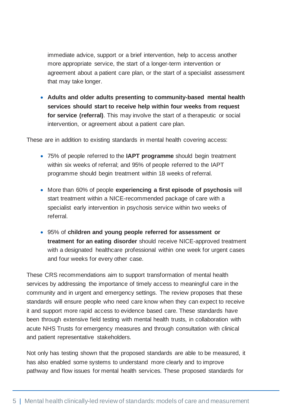immediate advice, support or a brief intervention, help to access another more appropriate service, the start of a longer-term intervention or agreement about a patient care plan, or the start of a specialist assessment that may take longer.

• **Adults and older adults presenting to community-based mental health services should start to receive help within four weeks from request for service (referral)**. This may involve the start of a therapeutic or social intervention, or agreement about a patient care plan.

These are in addition to existing standards in mental health covering access:

- 75% of people referred to the **IAPT programme** should begin treatment within six weeks of referral; and 95% of people referred to the IAPT programme should begin treatment within 18 weeks of referral.
- More than 60% of people **experiencing a first episode of psychosis** will start treatment within a NICE-recommended package of care with a specialist early intervention in psychosis service within two weeks of referral.
- 95% of **children and young people referred for assessment or treatment for an eating disorder** should receive NICE-approved treatment with a designated healthcare professional within one week for urgent cases and four weeks for every other case.

These CRS recommendations aim to support transformation of mental health services by addressing the importance of timely access to meaningful care in the community and in urgent and emergency settings. The review proposes that these standards will ensure people who need care know when they can expect to receive it and support more rapid access to evidence based care. These standards have been through extensive field testing with mental health trusts, in collaboration with acute NHS Trusts for emergency measures and through consultation with clinical and patient representative stakeholders.

Not only has testing shown that the proposed standards are able to be measured, it has also enabled some systems to understand more clearly and to improve pathway and flow issues for mental health services. These proposed standards for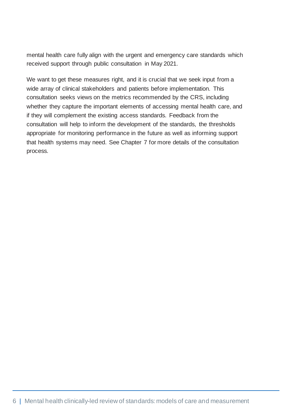mental health care fully align with the urgent and emergency care standards which received support through public consultation in May 2021.

We want to get these measures right, and it is crucial that we seek input from a wide array of clinical stakeholders and patients before implementation. This consultation seeks views on the metrics recommended by the CRS, including whether they capture the important elements of accessing mental health care, and if they will complement the existing access standards. Feedback from the consultation will help to inform the development of the standards, the thresholds appropriate for monitoring performance in the future as well as informing support that health systems may need. See Chapter 7 for more details of the consultation process.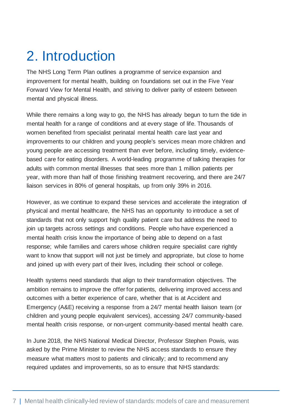# <span id="page-7-0"></span>2. Introduction

The NHS Long Term Plan outlines a programme of service expansion and improvement for mental health, building on foundations set out in the Five Year Forward View for Mental Health, and striving to deliver parity of esteem between mental and physical illness.

While there remains a long way to go, the NHS has already begun to turn the tide in mental health for a range of conditions and at every stage of life. Thousands of women benefited from specialist perinatal mental health care last year and improvements to our children and young people's services mean more children and young people are accessing treatment than ever before, including timely, evidencebased care for eating disorders. A world-leading programme of talking therapies for adults with common mental illnesses that sees more than 1 million patients per year, with more than half of those finishing treatment recovering, and there are 24/7 liaison services in 80% of general hospitals, up from only 39% in 2016.

However, as we continue to expand these services and accelerate the integration of physical and mental healthcare, the NHS has an opportunity to introduce a set of standards that not only support high quality patient care but address the need to join up targets across settings and conditions. People who have experienced a mental health crisis know the importance of being able to depend on a fast response; while families and carers whose children require specialist care rightly want to know that support will not just be timely and appropriate, but close to home and joined up with every part of their lives, including their school or college.

Health systems need standards that align to their transformation objectives. The ambition remains to improve the offer for patients, delivering improved access and outcomes with a better experience of care, whether that is at Accident and Emergency (A&E) receiving a response from a 24/7 mental health liaison team (or children and young people equivalent services), accessing 24/7 community-based mental health crisis response, or non-urgent community-based mental health care.

In June 2018, the NHS National Medical Director, Professor Stephen Powis, was asked by the Prime Minister to review the NHS access standards to ensure they measure what matters most to patients and clinically; and to recommend any required updates and improvements, so as to ensure that NHS standards: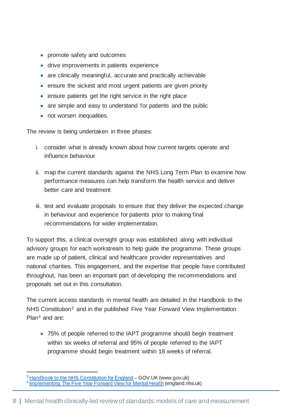- promote safety and outcomes
- drive improvements in patients experience
- are clinically meaningful, accurate and practically achievable
- ensure the sickest and most urgent patients are given priority
- ensure patients get the right service in the right place
- are simple and easy to understand for patients and the public
- not worsen inequalities.

The review is being undertaken in three phases:

- i. consider what is already known about how current targets operate and influence behaviour
- ii. map the current standards against the NHS Long Term Plan to examine how performance measures can help transform the health service and deliver better care and treatment
- iii. test and evaluate proposals to ensure that they deliver the expected change in behaviour and experience for patients prior to making final recommendations for wider implementation.

To support this, a clinical oversight group was established along with individual advisory groups for each workstream to help guide the programme. These groups are made up of patient, clinical and healthcare provider representatives and national charities. This engagement, and the expertise that people have contributed throughout, has been an important part of developing the recommendations and proposals set out in this consultation.

The current access standards in mental health are detailed in the Handbook to the NHS Constitution[3](#page-8-0) and in the published Five Year Forward View Implementation Plan[4](#page-8-1) and are:

• 75% of people referred to the IAPT programme should begin treatment within six weeks of referral and 95% of people referred to the IAPT programme should begin treatment within 18 weeks of referral.

<span id="page-8-1"></span><span id="page-8-0"></span><sup>&</sup>lt;sup>3</sup> [Handbook to the NHS Constitution for England](https://www.gov.uk/government/publications/supplements-to-the-nhs-constitution-for-england/the-handbook-to-the-nhs-constitution-for-england) – GOV.UK (www.gov.uk)<br><sup>4</sup> [Implementing The Five Year Forward View for Mental Health](https://www.england.nhs.uk/wp-content/uploads/2016/07/fyfv-mh.pdf) (england.nhs.uk)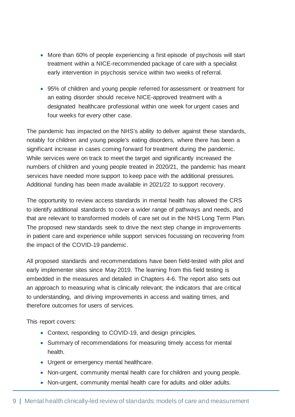- More than 60% of people experiencing a first episode of psychosis will start treatment within a NICE-recommended package of care with a specialist early intervention in psychosis service within two weeks of referral.
- 95% of children and young people referred for assessment or treatment for an eating disorder should receive NICE-approved treatment with a designated healthcare professional within one week for urgent cases and four weeks for every other case.

The pandemic has impacted on the NHS's ability to deliver against these standards, notably for children and young people's eating disorders, where there has been a significant increase in cases coming forward for treatment during the pandemic. While services were on track to meet the target and significantly increased the numbers of children and young people treated in 2020/21, the pandemic has meant services have needed more support to keep pace with the additional pressures. Additional funding has been made available in 2021/22 to support recovery.

The opportunity to review access standards in mental health has allowed the CRS to identify additional standards to cover a wider range of pathways and needs, and that are relevant to transformed models of care set out in the NHS Long Term Plan. The proposed new standards seek to drive the next step change in improvements in patient care and experience while support services focussing on recovering from the impact of the COVID-19 pandemic.

All proposed standards and recommendations have been field-tested with pilot and early implementer sites since May 2019. The learning from this field testing is embedded in the measures and detailed in Chapters 4-6. The report also sets out an approach to measuring what is clinically relevant; the indicators that are critical to understanding, and driving improvements in access and waiting times, and therefore outcomes for users of services.

This report covers:

- Context, responding to COVID-19, and design principles.
- Summary of recommendations for measuring timely access for mental health.
- Urgent or emergency mental healthcare.
- Non-urgent, community mental health care for children and young people.
- Non-urgent, community mental health care for adults and older adults.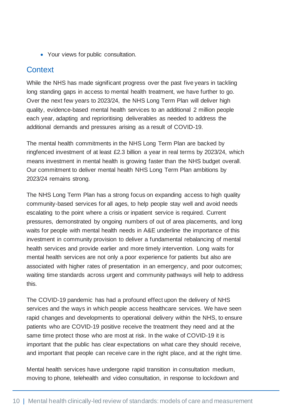• Your views for public consultation.

#### **Context**

While the NHS has made significant progress over the past five years in tackling long standing gaps in access to mental health treatment, we have further to go. Over the next few years to 2023/24, the NHS Long Term Plan will deliver high quality, evidence-based mental health services to an additional 2 million people each year, adapting and reprioritising deliverables as needed to address the additional demands and pressures arising as a result of COVID-19.

The mental health commitments in the NHS Long Term Plan are backed by ringfenced investment of at least £2.3 billion a year in real terms by 2023/24, which means investment in mental health is growing faster than the NHS budget overall. Our commitment to deliver mental health NHS Long Term Plan ambitions by 2023/24 remains strong.

The NHS Long Term Plan has a strong focus on expanding access to high quality community-based services for all ages, to help people stay well and avoid needs escalating to the point where a crisis or inpatient service is required. Current pressures, demonstrated by ongoing numbers of out of area placements, and long waits for people with mental health needs in A&E underline the importance of this investment in community provision to deliver a fundamental rebalancing of mental health services and provide earlier and more timely intervention. Long waits for mental health services are not only a poor experience for patients but also are associated with higher rates of presentation in an emergency, and poor outcomes; waiting time standards across urgent and community pathways will help to address this.

The COVID-19 pandemic has had a profound effect upon the delivery of NHS services and the ways in which people access healthcare services. We have seen rapid changes and developments to operational delivery within the NHS, to ensure patients who are COVID-19 positive receive the treatment they need and at the same time protect those who are most at risk. In the wake of COVID-19 it is important that the public has clear expectations on what care they should receive, and important that people can receive care in the right place, and at the right time.

Mental health services have undergone rapid transition in consultation medium, moving to phone, telehealth and video consultation, in response to lockdown and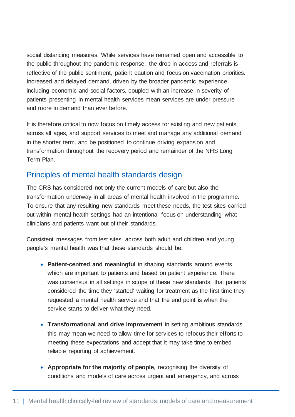social distancing measures. While services have remained open and accessible to the public throughout the pandemic response, the drop in access and referrals is reflective of the public sentiment, patient caution and focus on vaccination priorities. Increased and delayed demand, driven by the broader pandemic experience including economic and social factors, coupled with an increase in severity of patients presenting in mental health services mean services are under pressure and more in demand than ever before.

It is therefore critical to now focus on timely access for existing and new patients, across all ages, and support services to meet and manage any additional demand in the shorter term, and be positioned to continue driving expansion and transformation throughout the recovery period and remainder of the NHS Long Term Plan.

#### Principles of mental health standards design

The CRS has considered not only the current models of care but also the transformation underway in all areas of mental health involved in the programme. To ensure that any resulting new standards meet these needs, the test sites carried out within mental health settings had an intentional focus on understanding what clinicians and patients want out of their standards.

Consistent messages from test sites, across both adult and children and young people's mental health was that these standards should be:

- **Patient-centred and meaningful** in shaping standards around events which are important to patients and based on patient experience. There was consensus in all settings in scope of these new standards, that patients considered the time they 'started' waiting for treatment as the first time they requested a mental health service and that the end point is when the service starts to deliver what they need.
- **Transformational and drive improvement** in setting ambitious standards, this may mean we need to allow time for services to refocus their efforts to meeting these expectations and accept that it may take time to embed reliable reporting of achievement.
- **Appropriate for the majority of people**, recognising the diversity of conditions and models of care across urgent and emergency, and across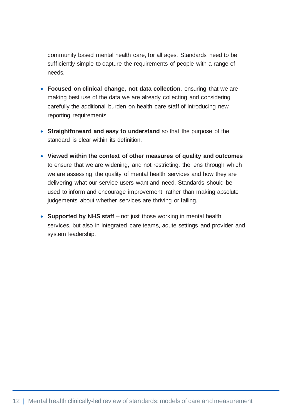community based mental health care, for all ages. Standards need to be sufficiently simple to capture the requirements of people with a range of needs.

- **Focused on clinical change, not data collection**, ensuring that we are making best use of the data we are already collecting and considering carefully the additional burden on health care staff of introducing new reporting requirements.
- **Straightforward and easy to understand** so that the purpose of the standard is clear within its definition.
- **Viewed within the context of other measures of quality and outcomes** to ensure that we are widening, and not restricting, the lens through which we are assessing the quality of mental health services and how they are delivering what our service users want and need. Standards should be used to inform and encourage improvement, rather than making absolute judgements about whether services are thriving or failing.
- **Supported by NHS staff** not just those working in mental health services, but also in integrated care teams, acute settings and provider and system leadership.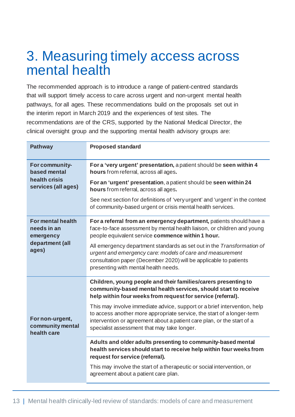## <span id="page-13-0"></span>3. Measuring timely access across mental health

The recommended approach is to introduce a range of patient-centred standards that will support timely access to care across urgent and non-urgent mental health pathways, for all ages. These recommendations build on the proposals set out in the interim report in March 2019 and the experiences of test sites. The recommendations are of the CRS, supported by the National Medical Director, the clinical oversight group and the supporting mental health advisory groups are:

| <b>Pathway</b>                                                         | <b>Proposed standard</b>                                                                                                                                                                                                                                                    |
|------------------------------------------------------------------------|-----------------------------------------------------------------------------------------------------------------------------------------------------------------------------------------------------------------------------------------------------------------------------|
| For community-<br>based mental<br>health crisis<br>services (all ages) | For a 'very urgent' presentation, a patient should be seen within 4<br>hours from referral, across all ages.                                                                                                                                                                |
|                                                                        | For an 'urgent' presentation, a patient should be seen within 24<br>hours from referral, across all ages.                                                                                                                                                                   |
|                                                                        | See next section for definitions of 'very urgent' and 'urgent' in the context<br>of community-based urgent or crisis mental health services.                                                                                                                                |
| For mental health<br>needs in an<br>emergency                          | For a referral from an emergency department, patients should have a<br>face-to-face assessment by mental health liaison, or children and young<br>people equivalent service commence within 1 hour.                                                                         |
| department (all<br>ages)                                               | All emergency department standards as set out in the Transformation of<br>urgent and emergency care: models of care and measurement<br>consultation paper (December 2020) will be applicable to patients<br>presenting with mental health needs.                            |
|                                                                        | Children, young people and their families/carers presenting to<br>community-based mental health services, should start to receive<br>help within four weeks from request for service (referral).                                                                            |
| For non-urgent,<br>community mental<br>health care                     | This may involve immediate advice, support or a brief intervention, help<br>to access another more appropriate service, the start of a longer-term<br>intervention or agreement about a patient care plan, or the start of a<br>specialist assessment that may take longer. |
|                                                                        | Adults and older adults presenting to community-based mental<br>health services should start to receive help within four weeks from<br>request for service (referral).                                                                                                      |
|                                                                        | This may involve the start of a therapeutic or social intervention, or<br>agreement about a patient care plan.                                                                                                                                                              |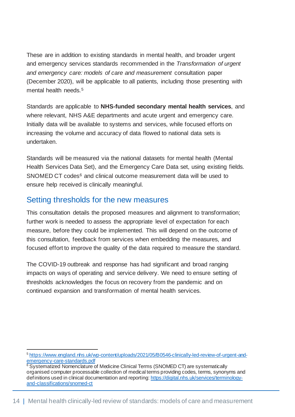These are in addition to existing standards in mental health, and broader urgent and emergency services standards recommended in the *Transformation of urgent and emergency care: models of care and measurement* consultation paper (December 2020), will be applicable to all patients, including those presenting with mental health needs.<sup>[5](#page-14-0)</sup>

Standards are applicable to **NHS-funded secondary mental health services**, and where relevant, NHS A&E departments and acute urgent and emergency care. Initially data will be available to systems and services, while focused efforts on increasing the volume and accuracy of data flowed to national data sets is undertaken.

Standards will be measured via the national datasets for mental health (Mental Health Services Data Set), and the Emergency Care Data set, using existing fields. SNOMED CT codes<sup>[6](#page-14-1)</sup> and clinical outcome measurement data will be used to ensure help received is clinically meaningful.

#### Setting thresholds for the new measures

This consultation details the proposed measures and alignment to transformation; further work is needed to assess the appropriate level of expectation for each measure, before they could be implemented. This will depend on the outcome of this consultation, feedback from services when embedding the measures, and focused effort to improve the quality of the data required to measure the standard.

The COVID-19 outbreak and response has had significant and broad ranging impacts on ways of operating and service delivery. We need to ensure setting of thresholds acknowledges the focus on recovery from the pandemic and on continued expansion and transformation of mental health services.

<span id="page-14-0"></span><sup>5</sup> [https://www.england.nhs.uk/wp-content/uploads/2021/05/B0546-clinically-led-review-of-urgent-and](https://www.england.nhs.uk/wp-content/uploads/2021/05/B0546-clinically-led-review-of-urgent-and-emergency-care-standards.pdf)[emergency-care-standards.pdf](https://www.england.nhs.uk/wp-content/uploads/2021/05/B0546-clinically-led-review-of-urgent-and-emergency-care-standards.pdf)

<span id="page-14-1"></span><sup>&</sup>lt;sup>6</sup> Systematized Nomenclature of Medicine Clinical Terms (SNOMED CT) are systematically organised computer processable collection of medical terms providing codes, terms, synonyms and definitions used in clinical documentation and reporting[: https://digital.nhs.uk/services/terminology](https://digital.nhs.uk/services/terminology-and-classifications/snomed-ct)[and-classifications/snomed-ct](https://digital.nhs.uk/services/terminology-and-classifications/snomed-ct)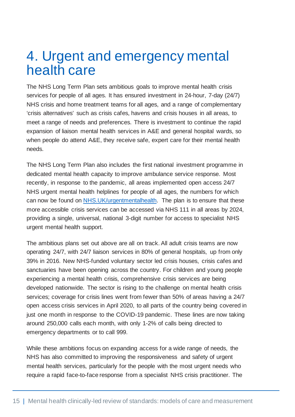## <span id="page-15-0"></span>4. Urgent and emergency mental health care

The NHS Long Term Plan sets ambitious goals to improve mental health crisis services for people of all ages. It has ensured investment in 24-hour, 7-day (24/7) NHS crisis and home treatment teams for all ages, and a range of complementary 'crisis alternatives' such as crisis cafes, havens and crisis houses in all areas, to meet a range of needs and preferences. There is investment to continue the rapid expansion of liaison mental health services in A&E and general hospital wards, so when people do attend A&E, they receive safe, expert care for their mental health needs.

The NHS Long Term Plan also includes the first national investment programme in dedicated mental health capacity to improve ambulance service response. Most recently, in response to the pandemic, all areas implemented open access 24/7 NHS urgent mental health helplines for people of all ages, the numbers for which can now be found on [NHS.UK/urgentmentalhealth.](https://www.nhs.uk/mental-health/advice-for-life-situations-and-events/where-to-get-urgent-help-for-mental-health/) The plan is to ensure that these more accessible crisis services can be accessed via NHS 111 in all areas by 2024, providing a single, universal, national 3-digit number for access to specialist NHS urgent mental health support.

The ambitious plans set out above are all on track. All adult crisis teams are now operating 24/7, with 24/7 liaison services in 80% of general hospitals, up from only 39% in 2016. New NHS-funded voluntary sector led crisis houses, crisis cafes and sanctuaries have been opening across the country. For children and young people experiencing a mental health crisis, comprehensive crisis services are being developed nationwide. The sector is rising to the challenge on mental health crisis services; coverage for crisis lines went from fewer than 50% of areas having a 24/7 open access crisis services in April 2020, to all parts of the country being covered in just one month in response to the COVID-19 pandemic. These lines are now taking around 250,000 calls each month, with only 1-2% of calls being directed to emergency departments or to call 999.

While these ambitions focus on expanding access for a wide range of needs, the NHS has also committed to improving the responsiveness and safety of urgent mental health services, particularly for the people with the most urgent needs who require a rapid face-to-face response from a specialist NHS crisis practitioner. The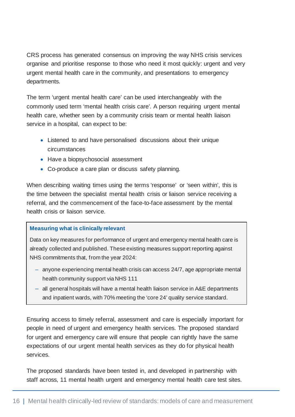CRS process has generated consensus on improving the way NHS crisis services organise and prioritise response to those who need it most quickly: urgent and very urgent mental health care in the community, and presentations to emergency departments.

The term 'urgent mental health care' can be used interchangeably with the commonly used term 'mental health crisis care'. A person requiring urgent mental health care, whether seen by a community crisis team or mental health liaison service in a hospital, can expect to be:

- Listened to and have personalised discussions about their unique circumstances
- Have a biopsychosocial assessment
- Co-produce a care plan or discuss safety planning.

When describing waiting times using the terms 'response' or 'seen within', this is the time between the specialist mental health crisis or liaison service receiving a referral, and the commencement of the face-to-face assessment by the mental health crisis or liaison service.

#### **Measuring what is clinically relevant**

Data on key measures for performance of urgent and emergency mental health care is already collected and published. These existing measures support reporting against NHS commitments that, from the year 2024:

- ‒ anyone experiencing mental health crisis can access 24/7, age appropriate mental health community support via NHS 111
- all general hospitals will have a mental health liaison service in A&E departments and inpatient wards, with 70% meeting the 'core 24' quality service standard.

Ensuring access to timely referral, assessment and care is especially important for people in need of urgent and emergency health services. The proposed standard for urgent and emergency care will ensure that people can rightly have the same expectations of our urgent mental health services as they do for physical health services.

The proposed standards have been tested in, and developed in partnership with staff across, 11 mental health urgent and emergency mental health care test sites.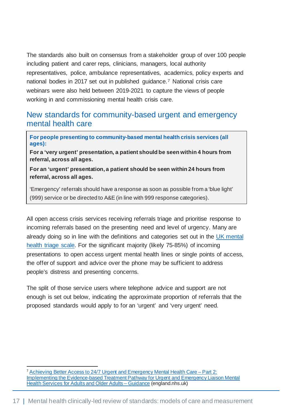The standards also built on consensus from a stakeholder group of over 100 people including patient and carer reps, clinicians, managers, local authority representatives, police, ambulance representatives, academics, policy experts and national bodies in 2017 set out in published guidance.[7](#page-17-0) National crisis care webinars were also held between 2019-2021 to capture the views of people working in and commissioning mental health crisis care.

#### New standards for community-based urgent and emergency mental health care

**For people presenting to community-based mental health crisis services (all ages):**

**For a 'very urgent' presentation, a patient should be seen within 4 hours from referral, across all ages.**

**For an 'urgent' presentation, a patient should be seen within 24 hours from referral, across all ages.**

'Emergency' referrals should have a response as soon as possible from a 'blue light' (999) service or be directed to A&E (in line with 999 response categories).

All open access crisis services receiving referrals triage and prioritise response to incoming referrals based on the presenting need and level of urgency. Many are already doing so in line with the definitions and categories set out in the [UK mental](https://ukmentalhealthtriagescale.org/uk-mental-health-triage-scale/)  [health triage scale.](https://ukmentalhealthtriagescale.org/uk-mental-health-triage-scale/) For the significant majority (likely 75-85%) of incoming presentations to open access urgent mental health lines or single points of access, the offer of support and advice over the phone may be sufficient to address people's distress and presenting concerns.

The split of those service users where telephone advice and support are not enough is set out below, indicating the approximate proportion of referrals that the proposed standards would apply to for an 'urgent' and 'very urgent' need.

<span id="page-17-0"></span><sup>7</sup> [Achieving Better Access to 24/7 Urgent and Emergency Mental Health Care –](https://www.england.nhs.uk/wp-content/uploads/2016/11/lmhs-guidance.pdf) Part 2: [Implementing the Evidence-based Treatment Pathway for Urgent and Emergency Liaison Mental](https://www.england.nhs.uk/wp-content/uploads/2016/11/lmhs-guidance.pdf)  [Health Services for Adults and Older Adults –](https://www.england.nhs.uk/wp-content/uploads/2016/11/lmhs-guidance.pdf) Guidance (england.nhs.uk)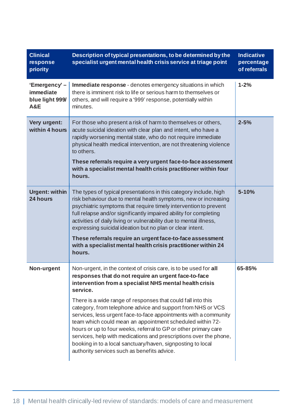| <b>Clinical</b><br>response<br>priority             | Description of typical presentations, to be determined by the<br>specialist urgent mental health crisis service at triage point                                                                                                                                                                                                                                                                                                                                                                                                                                                                                                                                                                                       | <b>Indicative</b><br>percentage<br>of referrals |
|-----------------------------------------------------|-----------------------------------------------------------------------------------------------------------------------------------------------------------------------------------------------------------------------------------------------------------------------------------------------------------------------------------------------------------------------------------------------------------------------------------------------------------------------------------------------------------------------------------------------------------------------------------------------------------------------------------------------------------------------------------------------------------------------|-------------------------------------------------|
| 'Emergency'-<br>immediate<br>blue light 999/<br>A&E | Immediate response - denotes emergency situations in which<br>there is imminent risk to life or serious harm to themselves or<br>others, and will require a '999' response, potentially within<br>minutes.                                                                                                                                                                                                                                                                                                                                                                                                                                                                                                            | $1 - 2%$                                        |
| Very urgent:<br>within 4 hours                      | For those who present a risk of harm to themselves or others,<br>acute suicidal ideation with clear plan and intent, who have a<br>rapidly worsening mental state, who do not require immediate<br>physical health medical intervention, are not threatening violence<br>to others.<br>These referrals require a very urgent face-to-face assessment<br>with a specialist mental health crisis practitioner within four<br>hours.                                                                                                                                                                                                                                                                                     | $2 - 5%$                                        |
| <b>Urgent: within</b><br>24 hours                   | The types of typical presentations in this category include, high<br>risk behaviour due to mental health symptoms, new or increasing<br>psychiatric symptoms that require timely intervention to prevent<br>full relapse and/or significantly impaired ability for completing<br>activities of daily living or vulnerability due to mental illness,<br>expressing suicidal ideation but no plan or clear intent.<br>These referrals require an urgent face-to-face assessment<br>with a specialist mental health crisis practitioner within 24<br>hours.                                                                                                                                                              | $5 - 10%$                                       |
| Non-urgent                                          | Non-urgent, in the context of crisis care, is to be used for all<br>responses that do not require an urgent face-to-face<br>intervention from a specialist NHS mental health crisis<br>service.<br>There is a wide range of responses that could fall into this<br>category, from telephone advice and support from NHS or VCS<br>services, less urgent face-to-face appointments with a community<br>team which could mean an appointment scheduled within 72-<br>hours or up to four weeks, referral to GP or other primary care<br>services, help with medications and prescriptions over the phone,<br>booking in to a local sanctuary/haven, signposting to local<br>authority services such as benefits advice. | 65-85%                                          |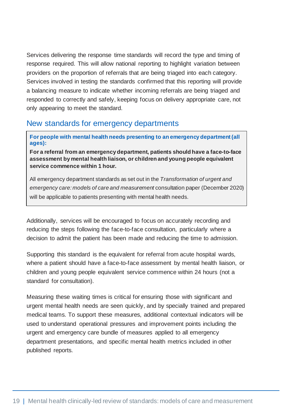Services delivering the response time standards will record the type and timing of response required. This will allow national reporting to highlight variation between providers on the proportion of referrals that are being triaged into each category. Services involved in testing the standards confirmed that this reporting will provide a balancing measure to indicate whether incoming referrals are being triaged and responded to correctly and safely, keeping focus on delivery appropriate care, not only appearing to meet the standard.

### New standards for emergency departments

**For people with mental health needs presenting to an emergency department (all ages):** 

**For a referral from an emergency department, patients should have a face-to-face assessment by mental health liaison, or children and young people equivalent service commence within 1 hour.**

All emergency department standards as set out in the *Transformation of urgent and emergency care: models of care and measurement* consultation paper (December 2020) will be applicable to patients presenting with mental health needs.

Additionally, services will be encouraged to focus on accurately recording and reducing the steps following the face-to-face consultation, particularly where a decision to admit the patient has been made and reducing the time to admission.

Supporting this standard is the equivalent for referral from acute hospital wards, where a patient should have a face-to-face assessment by mental health liaison, or children and young people equivalent service commence within 24 hours (not a standard for consultation).

Measuring these waiting times is critical for ensuring those with significant and urgent mental health needs are seen quickly, and by specially trained and prepared medical teams. To support these measures, additional contextual indicators will be used to understand operational pressures and improvement points including the urgent and emergency care bundle of measures applied to all emergency department presentations, and specific mental health metrics included in other published reports.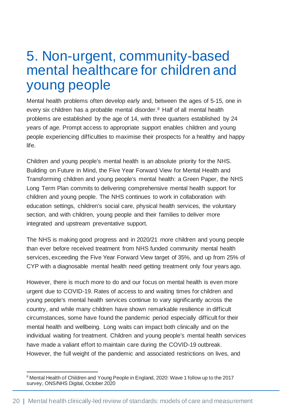### <span id="page-20-0"></span>5. Non-urgent, community-based mental healthcare for children and young people

Mental health problems often develop early and, between the ages of 5-15, one in every six children has a probable mental disorder.<sup>[8](#page-20-1)</sup> Half of all mental health problems are established by the age of 14, with three quarters established by 24 years of age. Prompt access to appropriate support enables children and young people experiencing difficulties to maximise their prospects for a healthy and happy life.

Children and young people's mental health is an absolute priority for the NHS. Building on Future in Mind, the Five Year Forward View for Mental Health and Transforming children and young people's mental health: a Green Paper, the NHS Long Term Plan commits to delivering comprehensive mental health support for children and young people. The NHS continues to work in collaboration with education settings, children's social care, physical health services, the voluntary section, and with children, young people and their families to deliver more integrated and upstream preventative support.

The NHS is making good progress and in 2020/21 more children and young people than ever before received treatment from NHS funded community mental health services, exceeding the Five Year Forward View target of 35%, and up from 25% of CYP with a diagnosable mental health need getting treatment only four years ago.

However, there is much more to do and our focus on mental health is even more urgent due to COVID-19. Rates of access to and waiting times for children and young people's mental health services continue to vary significantly across the country, and while many children have shown remarkable resilience in difficult circumstances, some have found the pandemic period especially difficult for their mental health and wellbeing. Long waits can impact both clinically and on the individual waiting for treatment. Children and young people's mental health services have made a valiant effort to maintain care during the COVID-19 outbreak. However, the full weight of the pandemic and associated restrictions on lives, and

<span id="page-20-1"></span><sup>&</sup>lt;sup>8</sup> Mental Health of Children and Young People in England, 2020: Wave 1 follow up to the 2017 survey, ONS/NHS Digital, October 2020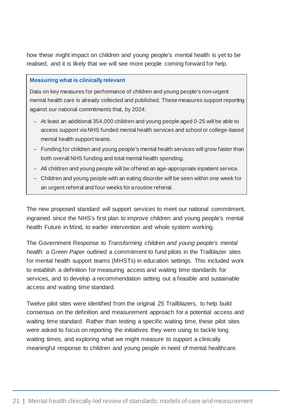how these might impact on children and young people's mental health is yet to be realised, and it is likely that we will see more people coming forward for help.

#### **Measuring what is clinically relevant**

Data on key measures for performance of children and young people's non-urgent mental health care is already collected and published. These measures support reporting against our national commitments that, by 2024:

- ‒ At least an additional 354,000 children and young people aged 0-25 will be able to access support via NHS funded mental health services and school or college-based mental health support teams.
- Funding for children and young people's mental health services will grow faster than both overall NHS funding and total mental health spending.
- All children and young people will be offered an age-appropriate inpatient service.
- Children and young people with an eating disorder will be seen within one week for an urgent referral and four weeks for a routine referral.

The new proposed standard will support services to meet our national commitment, ingrained since the NHS's first plan to improve children and young people's mental health Future in Mind, to earlier intervention and whole system working.

The Government Response to *Transforming children and young people's mental health: a Green Paper* outlined a commitment to fund pilots in the Trailblazer sites for mental health support teams (MHSTs) in education settings. This included work to establish a definition for measuring access and waiting time standards for services, and to develop a recommendation setting out a feasible and sustainable access and waiting time standard.

Twelve pilot sites were identified from the original 25 Trailblazers, to help build consensus on the definition and measurement approach for a potential access and waiting time standard. Rather than testing a specific waiting time, these pilot sites were asked to focus on reporting the initiatives they were using to tackle long waiting times, and exploring what we might measure to support a clinically meaningful response to children and young people in need of mental healthcare.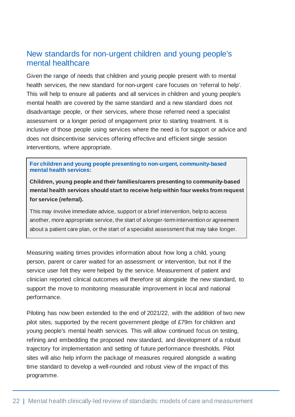#### New standards for non-urgent children and young people's mental healthcare

Given the range of needs that children and young people present with to mental health services, the new standard for non-urgent care focuses on 'referral to help'. This will help to ensure all patients and all services in children and young people's mental health are covered by the same standard and a new standard does not disadvantage people, or their services, where those referred need a specialist assessment or a longer period of engagement prior to starting treatment. It is inclusive of those people using services where the need is for support or advice and does not disincentivise services offering effective and efficient single session interventions, where appropriate.

**For children and young people presenting to non-urgent, community-based mental health services:**

**Children, young people and their families/carers presenting to community-based mental health services should start to receive help within four weeks from request for service (referral).**

This may involve immediate advice, support or a brief intervention, help to access another, more appropriate service, the start of a longer-term intervention or agreement about a patient care plan, or the start of a specialist assessment that may take longer.

Measuring waiting times provides information about how long a child, young person, parent or carer waited for an assessment or intervention, but not if the service user felt they were helped by the service. Measurement of patient and clinician reported clinical outcomes will therefore sit alongside the new standard, to support the move to monitoring measurable improvement in local and national performance.

Piloting has now been extended to the end of 2021/22, with the addition of two new pilot sites, supported by the recent government pledge of £79m for children and young people's mental health services. This will allow continued focus on testing, refining and embedding the proposed new standard, and development of a robust trajectory for implementation and setting of future performance thresholds. Pilot sites will also help inform the package of measures required alongside a waiting time standard to develop a well-rounded and robust view of the impact of this programme.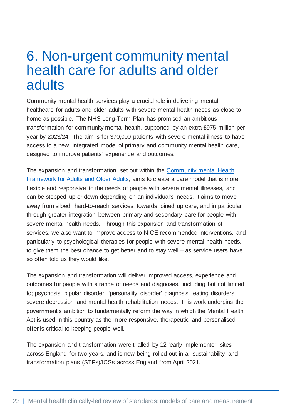### <span id="page-23-0"></span>6. Non-urgent community mental health care for adults and older adults

Community mental health services play a crucial role in delivering mental healthcare for adults and older adults with severe mental health needs as close to home as possible. The NHS Long-Term Plan has promised an ambitious transformation for community mental health, supported by an extra £975 million per year by 2023/24. The aim is for 370,000 patients with severe mental illness to have access to a new, integrated model of primary and community mental health care, designed to improve patients' experience and outcomes.

The expansion and transformation, set out within the [Community mental Health](https://www.england.nhs.uk/wp-content/uploads/2019/09/community-mental-health-framework-for-adults-and-older-adults.pdf)  [Framework for Adults and Older Adults,](https://www.england.nhs.uk/wp-content/uploads/2019/09/community-mental-health-framework-for-adults-and-older-adults.pdf) aims to create a care model that is more flexible and responsive to the needs of people with severe mental illnesses, and can be stepped up or down depending on an individual's needs. It aims to move away from siloed, hard-to-reach services, towards joined up care; and in particular through greater integration between primary and secondary care for people with severe mental health needs. Through this expansion and transformation of services, we also want to improve access to NICE recommended interventions, and particularly to psychological therapies for people with severe mental health needs, to give them the best chance to get better and to stay well – as service users have so often told us they would like.

The expansion and transformation will deliver improved access, experience and outcomes for people with a range of needs and diagnoses, including but not limited to; psychosis, bipolar disorder, 'personality disorder' diagnosis, eating disorders, severe depression and mental health rehabilitation needs. This work underpins the government's ambition to fundamentally reform the way in which the Mental Health Act is used in this country as the more responsive, therapeutic and personalised offer is critical to keeping people well.

The expansion and transformation were trialled by 12 'early implementer' sites across England for two years, and is now being rolled out in all sustainability and transformation plans (STPs)/ICSs across England from April 2021.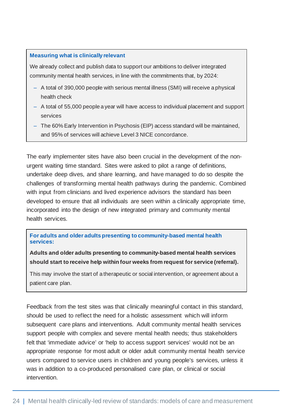#### **Measuring what is clinically relevant**

We already collect and publish data to support our ambitions to deliver integrated community mental health services, in line with the commitments that, by 2024:

- ‒ A total of 390,000 people with serious mental illness (SMI) will receive a physical health check
- ‒ A total of 55,000 people a year will have access to individual placement and support services
- ‒ The 60% Early Intervention in Psychosis (EIP) access standard will be maintained, and 95% of services will achieve Level 3 NICE concordance.

The early implementer sites have also been crucial in the development of the nonurgent waiting time standard. Sites were asked to pilot a range of definitions, undertake deep dives, and share learning, and have managed to do so despite the challenges of transforming mental health pathways during the pandemic. Combined with input from clinicians and lived experience advisors the standard has been developed to ensure that all individuals are seen within a clinically appropriate time, incorporated into the design of new integrated primary and community mental health services.

**For adults and older adults presenting to community-based mental health services:**

**Adults and older adults presenting to community-based mental health services should start to receive help within four weeks from request for service (referral).**

This may involve the start of a therapeutic or social intervention, or agreement about a patient care plan.

Feedback from the test sites was that clinically meaningful contact in this standard, should be used to reflect the need for a holistic assessment which will inform subsequent care plans and interventions. Adult community mental health services support people with complex and severe mental health needs; thus stakeholders felt that 'immediate advice' or 'help to access support services' would not be an appropriate response for most adult or older adult community mental health service users compared to service users in children and young people's services, unless it was in addition to a co-produced personalised care plan, or clinical or social intervention.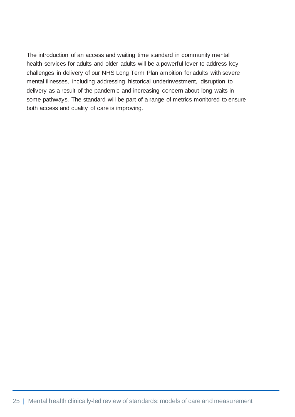The introduction of an access and waiting time standard in community mental health services for adults and older adults will be a powerful lever to address key challenges in delivery of our NHS Long Term Plan ambition for adults with severe mental illnesses, including addressing historical underinvestment, disruption to delivery as a result of the pandemic and increasing concern about long waits in some pathways. The standard will be part of a range of metrics monitored to ensure both access and quality of care is improving.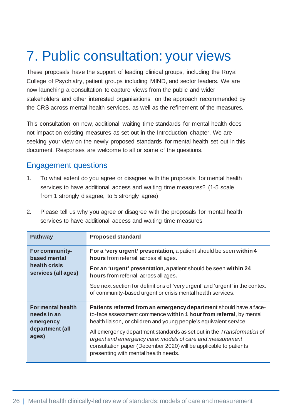# <span id="page-26-0"></span>7. Public consultation: your views

These proposals have the support of leading clinical groups, including the Royal College of Psychiatry, patient groups including MIND, and sector leaders. We are now launching a consultation to capture views from the public and wider stakeholders and other interested organisations, on the approach recommended by the CRS across mental health services, as well as the refinement of the measures.

This consultation on new, additional waiting time standards for mental health does not impact on existing measures as set out in the Introduction chapter. We are seeking your view on the newly proposed standards for mental health set out in this document. Responses are welcome to all or some of the questions.

### Engagement questions

- 1. To what extent do you agree or disagree with the proposals for mental health services to have additional access and waiting time measures? (1-5 scale from 1 strongly disagree, to 5 strongly agree)
- 2. Please tell us why you agree or disagree with the proposals for mental health services to have additional access and waiting time measures

| <b>Pathway</b>                                                         | <b>Proposed standard</b>                                                                                                                                                                                                                         |
|------------------------------------------------------------------------|--------------------------------------------------------------------------------------------------------------------------------------------------------------------------------------------------------------------------------------------------|
| For community-<br>based mental<br>health crisis<br>services (all ages) | For a 'very urgent' presentation, a patient should be seen within 4<br>hours from referral, across all ages.                                                                                                                                     |
|                                                                        | For an 'urgent' presentation, a patient should be seen within 24<br>hours from referral, across all ages.                                                                                                                                        |
|                                                                        | See next section for definitions of 'very urgent' and 'urgent' in the context<br>of community-based urgent or crisis mental health services.                                                                                                     |
| <b>For mental health</b><br>needs in an<br>emergency                   | Patients referred from an emergency department should have a face-<br>to-face assessment commence within 1 hour from referral, by mental<br>health liaison, or children and young people's equivalent service.                                   |
| department (all<br>ages)                                               | All emergency department standards as set out in the Transformation of<br>urgent and emergency care: models of care and measurement<br>consultation paper (December 2020) will be applicable to patients<br>presenting with mental health needs. |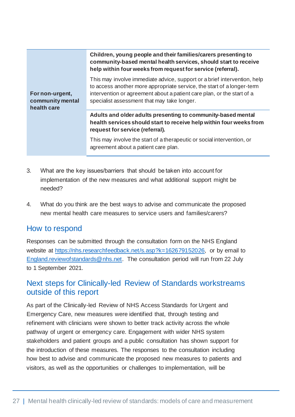| For non-urgent,<br>community mental<br>health care | Children, young people and their families/carers presenting to<br>community-based mental health services, should start to receive<br>help within four weeks from request for service (referral).                                                                            |  |
|----------------------------------------------------|-----------------------------------------------------------------------------------------------------------------------------------------------------------------------------------------------------------------------------------------------------------------------------|--|
|                                                    | This may involve immediate advice, support or a brief intervention, help<br>to access another more appropriate service, the start of a longer-term<br>intervention or agreement about a patient care plan, or the start of a<br>specialist assessment that may take longer. |  |
|                                                    | Adults and older adults presenting to community-based mental<br>health services should start to receive help within four weeks from<br>request for service (referral).                                                                                                      |  |
|                                                    | This may involve the start of a therapeutic or social intervention, or<br>agreement about a patient care plan.                                                                                                                                                              |  |

- 3. What are the key issues/barriers that should be taken into account for implementation of the new measures and what additional support might be needed?
- 4. What do you think are the best ways to advise and communicate the proposed new mental health care measures to service users and families/carers?

#### How to respond

Responses can be submitted through the consultation form on the NHS England website at [https://nhs.researchfeedback.net/s.asp?k=162679152026,](https://nhs.researchfeedback.net/s.asp?k=162679152026) or by email to [England.reviewofstandards@nhs.net.](mailto:England.reviewofstandards@nhs.net) The consultation period will run from 22 July to 1 September 2021.

#### Next steps for Clinically-led Review of Standards workstreams outside of this report

As part of the Clinically-led Review of NHS Access Standards for Urgent and Emergency Care, new measures were identified that, through testing and refinement with clinicians were shown to better track activity across the whole pathway of urgent or emergency care. Engagement with wider NHS system stakeholders and patient groups and a public consultation has shown support for the introduction of these measures. The responses to the consultation including how best to advise and communicate the proposed new measures to patients and visitors, as well as the opportunities or challenges to implementation, will be